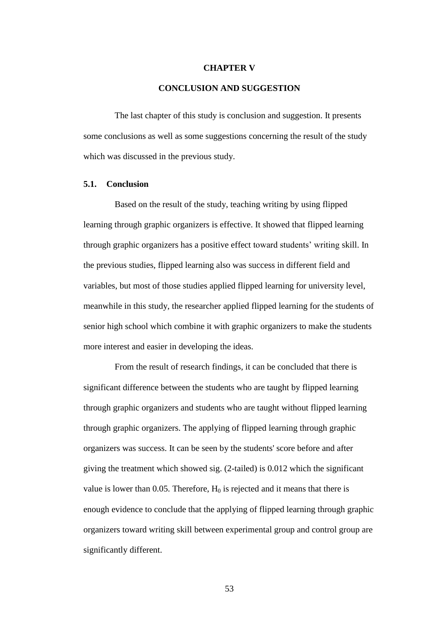## **CHAPTER V**

## **CONCLUSION AND SUGGESTION**

The last chapter of this study is conclusion and suggestion. It presents some conclusions as well as some suggestions concerning the result of the study which was discussed in the previous study.

## **5.1. Conclusion**

Based on the result of the study, teaching writing by using flipped learning through graphic organizers is effective. It showed that flipped learning through graphic organizers has a positive effect toward students' writing skill. In the previous studies, flipped learning also was success in different field and variables, but most of those studies applied flipped learning for university level, meanwhile in this study, the researcher applied flipped learning for the students of senior high school which combine it with graphic organizers to make the students more interest and easier in developing the ideas.

From the result of research findings, it can be concluded that there is significant difference between the students who are taught by flipped learning through graphic organizers and students who are taught without flipped learning through graphic organizers. The applying of flipped learning through graphic organizers was success. It can be seen by the students' score before and after giving the treatment which showed sig. (2-tailed) is 0.012 which the significant value is lower than 0.05. Therefore,  $H_0$  is rejected and it means that there is enough evidence to conclude that the applying of flipped learning through graphic organizers toward writing skill between experimental group and control group are significantly different.

53